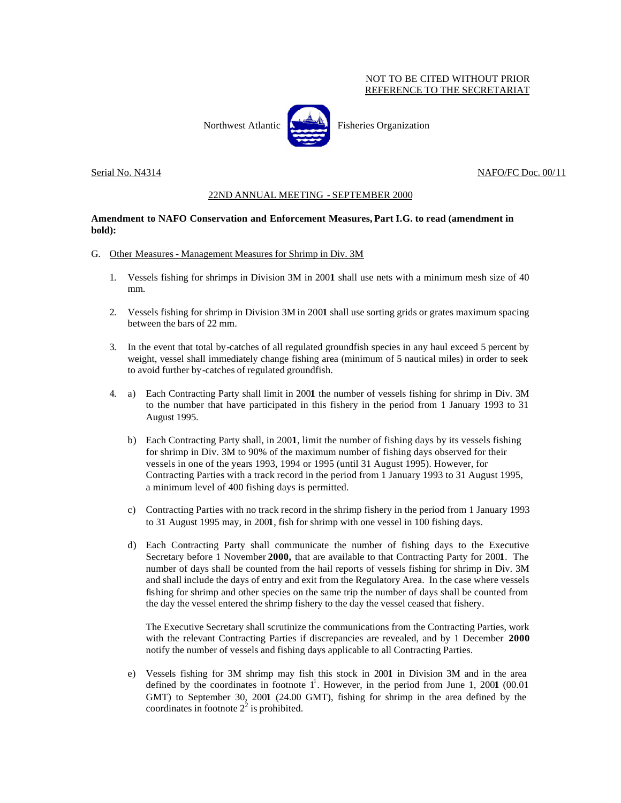## NOT TO BE CITED WITHOUT PRIOR REFERENCE TO THE SECRETARIAT

Northwest Atlantic  $\begin{bmatrix} 1 & 1 \\ 1 & 1 \end{bmatrix}$  Fisheries Organization

Serial No. N4314 No. N4314 NAFO/FC Doc. 00/11

## 22ND ANNUAL MEETING - SEPTEMBER 2000

## **Amendment to NAFO Conservation and Enforcement Measures, Part I.G. to read (amendment in bold):**

- G. Other Measures Management Measures for Shrimp in Div. 3M
	- 1. Vessels fishing for shrimps in Division 3M in 200**1** shall use nets with a minimum mesh size of 40 mm.
	- 2. Vessels fishing for shrimp in Division 3M in 200**1** shall use sorting grids or grates maximum spacing between the bars of 22 mm.
	- 3. In the event that total by-catches of all regulated groundfish species in any haul exceed 5 percent by weight, vessel shall immediately change fishing area (minimum of 5 nautical miles) in order to seek to avoid further by-catches of regulated groundfish.
	- 4. a) Each Contracting Party shall limit in 200**1** the number of vessels fishing for shrimp in Div. 3M to the number that have participated in this fishery in the period from 1 January 1993 to 31 August 1995.
		- b) Each Contracting Party shall, in 200**1**, limit the number of fishing days by its vessels fishing for shrimp in Div. 3M to 90% of the maximum number of fishing days observed for their vessels in one of the years 1993, 1994 or 1995 (until 31 August 1995). However, for Contracting Parties with a track record in the period from 1 January 1993 to 31 August 1995, a minimum level of 400 fishing days is permitted.
		- c) Contracting Parties with no track record in the shrimp fishery in the period from 1 January 1993 to 31 August 1995 may, in 200**1**, fish for shrimp with one vessel in 100 fishing days.
		- d) Each Contracting Party shall communicate the number of fishing days to the Executive Secretary before 1 November **2000,** that are available to that Contracting Party for 200**1**. The number of days shall be counted from the hail reports of vessels fishing for shrimp in Div. 3M and shall include the days of entry and exit from the Regulatory Area. In the case where vessels fishing for shrimp and other species on the same trip the number of days shall be counted from the day the vessel entered the shrimp fishery to the day the vessel ceased that fishery.

The Executive Secretary shall scrutinize the communications from the Contracting Parties, work with the relevant Contracting Parties if discrepancies are revealed, and by 1 December **2000** notify the number of vessels and fishing days applicable to all Contracting Parties.

e) Vessels fishing for 3M shrimp may fish this stock in 200**1** in Division 3M and in the area defined by the coordinates in footnote  $1^1$ . However, in the period from June 1, 2001 (00.01) GMT) to September 30, 200**1** (24.00 GMT), fishing for shrimp in the area defined by the coordinates in footnote  $2^2$  is prohibited.